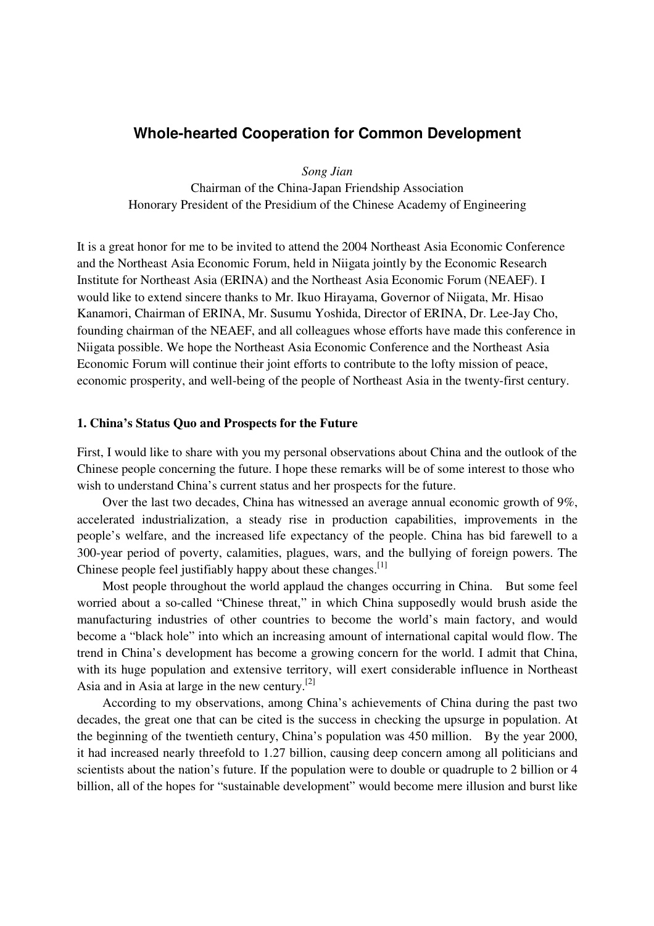# **Whole-hearted Cooperation for Common Development**

*Song Jian* 

Chairman of the China-Japan Friendship Association Honorary President of the Presidium of the Chinese Academy of Engineering

It is a great honor for me to be invited to attend the 2004 Northeast Asia Economic Conference and the Northeast Asia Economic Forum, held in Niigata jointly by the Economic Research Institute for Northeast Asia (ERINA) and the Northeast Asia Economic Forum (NEAEF). I would like to extend sincere thanks to Mr. Ikuo Hirayama, Governor of Niigata, Mr. Hisao Kanamori, Chairman of ERINA, Mr. Susumu Yoshida, Director of ERINA, Dr. Lee-Jay Cho, founding chairman of the NEAEF, and all colleagues whose efforts have made this conference in Niigata possible. We hope the Northeast Asia Economic Conference and the Northeast Asia Economic Forum will continue their joint efforts to contribute to the lofty mission of peace, economic prosperity, and well-being of the people of Northeast Asia in the twenty-first century.

#### **1. China's Status Quo and Prospects for the Future**

First, I would like to share with you my personal observations about China and the outlook of the Chinese people concerning the future. I hope these remarks will be of some interest to those who wish to understand China's current status and her prospects for the future.

Over the last two decades, China has witnessed an average annual economic growth of 9%, accelerated industrialization, a steady rise in production capabilities, improvements in the people's welfare, and the increased life expectancy of the people. China has bid farewell to a 300-year period of poverty, calamities, plagues, wars, and the bullying of foreign powers. The Chinese people feel justifiably happy about these changes.<sup>[1]</sup>

Most people throughout the world applaud the changes occurring in China. But some feel worried about a so-called "Chinese threat," in which China supposedly would brush aside the manufacturing industries of other countries to become the world's main factory, and would become a "black hole" into which an increasing amount of international capital would flow. The trend in China's development has become a growing concern for the world. I admit that China, with its huge population and extensive territory, will exert considerable influence in Northeast Asia and in Asia at large in the new century.[2]

According to my observations, among China's achievements of China during the past two decades, the great one that can be cited is the success in checking the upsurge in population. At the beginning of the twentieth century, China's population was 450 million. By the year 2000, it had increased nearly threefold to 1.27 billion, causing deep concern among all politicians and scientists about the nation's future. If the population were to double or quadruple to 2 billion or 4 billion, all of the hopes for "sustainable development" would become mere illusion and burst like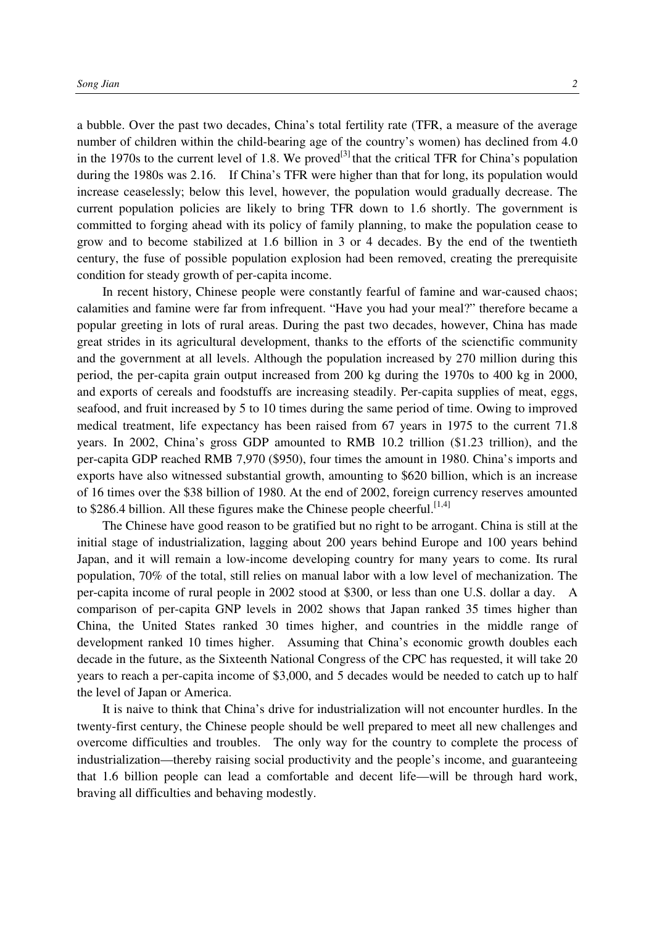a bubble. Over the past two decades, China's total fertility rate (TFR, a measure of the average number of children within the child-bearing age of the country's women) has declined from 4.0 in the 1970s to the current level of 1.8. We proved<sup>[3]</sup> that the critical TFR for China's population during the 1980s was 2.16. If China's TFR were higher than that for long, its population would increase ceaselessly; below this level, however, the population would gradually decrease. The current population policies are likely to bring TFR down to 1.6 shortly. The government is committed to forging ahead with its policy of family planning, to make the population cease to grow and to become stabilized at 1.6 billion in 3 or 4 decades. By the end of the twentieth century, the fuse of possible population explosion had been removed, creating the prerequisite condition for steady growth of per-capita income.

In recent history, Chinese people were constantly fearful of famine and war-caused chaos; calamities and famine were far from infrequent. "Have you had your meal?" therefore became a popular greeting in lots of rural areas. During the past two decades, however, China has made great strides in its agricultural development, thanks to the efforts of the scienctific community and the government at all levels. Although the population increased by 270 million during this period, the per-capita grain output increased from 200 kg during the 1970s to 400 kg in 2000, and exports of cereals and foodstuffs are increasing steadily. Per-capita supplies of meat, eggs, seafood, and fruit increased by 5 to 10 times during the same period of time. Owing to improved medical treatment, life expectancy has been raised from 67 years in 1975 to the current 71.8 years. In 2002, China's gross GDP amounted to RMB 10.2 trillion (\$1.23 trillion), and the per-capita GDP reached RMB 7,970 (\$950), four times the amount in 1980. China's imports and exports have also witnessed substantial growth, amounting to \$620 billion, which is an increase of 16 times over the \$38 billion of 1980. At the end of 2002, foreign currency reserves amounted to \$286.4 billion. All these figures make the Chinese people cheerful.<sup>[1,4]</sup>

The Chinese have good reason to be gratified but no right to be arrogant. China is still at the initial stage of industrialization, lagging about 200 years behind Europe and 100 years behind Japan, and it will remain a low-income developing country for many years to come. Its rural population, 70% of the total, still relies on manual labor with a low level of mechanization. The per-capita income of rural people in 2002 stood at \$300, or less than one U.S. dollar a day. A comparison of per-capita GNP levels in 2002 shows that Japan ranked 35 times higher than China, the United States ranked 30 times higher, and countries in the middle range of development ranked 10 times higher. Assuming that China's economic growth doubles each decade in the future, as the Sixteenth National Congress of the CPC has requested, it will take 20 years to reach a per-capita income of \$3,000, and 5 decades would be needed to catch up to half the level of Japan or America.

It is naive to think that China's drive for industrialization will not encounter hurdles. In the twenty-first century, the Chinese people should be well prepared to meet all new challenges and overcome difficulties and troubles. The only way for the country to complete the process of industrialization—thereby raising social productivity and the people's income, and guaranteeing that 1.6 billion people can lead a comfortable and decent life—will be through hard work, braving all difficulties and behaving modestly.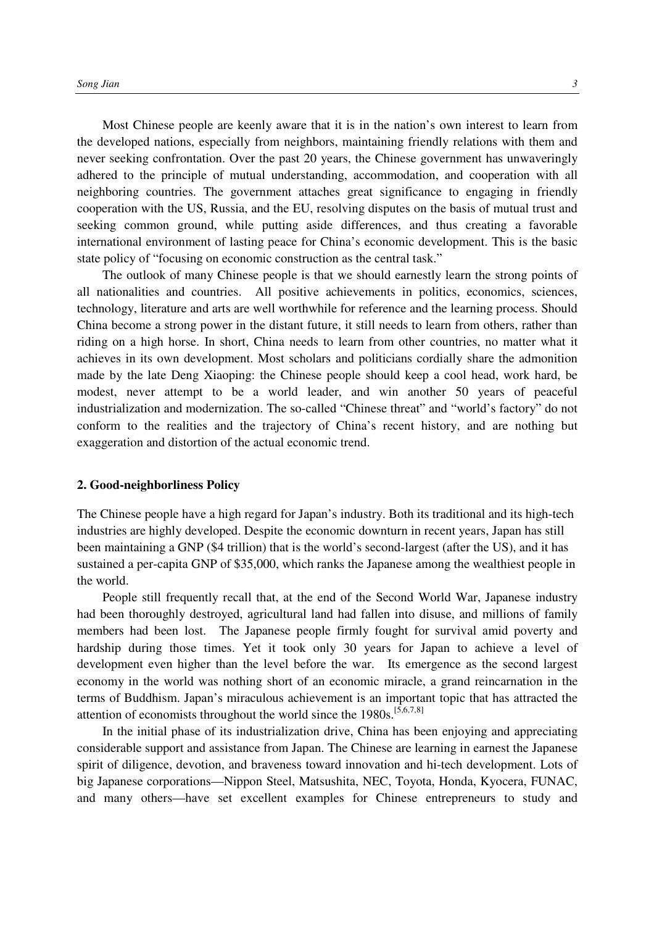Most Chinese people are keenly aware that it is in the nation's own interest to learn from the developed nations, especially from neighbors, maintaining friendly relations with them and never seeking confrontation. Over the past 20 years, the Chinese government has unwaveringly adhered to the principle of mutual understanding, accommodation, and cooperation with all neighboring countries. The government attaches great significance to engaging in friendly cooperation with the US, Russia, and the EU, resolving disputes on the basis of mutual trust and seeking common ground, while putting aside differences, and thus creating a favorable international environment of lasting peace for China's economic development. This is the basic state policy of "focusing on economic construction as the central task."

The outlook of many Chinese people is that we should earnestly learn the strong points of all nationalities and countries. All positive achievements in politics, economics, sciences, technology, literature and arts are well worthwhile for reference and the learning process. Should China become a strong power in the distant future, it still needs to learn from others, rather than riding on a high horse. In short, China needs to learn from other countries, no matter what it achieves in its own development. Most scholars and politicians cordially share the admonition made by the late Deng Xiaoping: the Chinese people should keep a cool head, work hard, be modest, never attempt to be a world leader, and win another 50 years of peaceful industrialization and modernization. The so-called "Chinese threat" and "world's factory" do not conform to the realities and the trajectory of China's recent history, and are nothing but exaggeration and distortion of the actual economic trend.

#### **2. Good-neighborliness Policy**

The Chinese people have a high regard for Japan's industry. Both its traditional and its high-tech industries are highly developed. Despite the economic downturn in recent years, Japan has still been maintaining a GNP (\$4 trillion) that is the world's second-largest (after the US), and it has sustained a per-capita GNP of \$35,000, which ranks the Japanese among the wealthiest people in the world.

People still frequently recall that, at the end of the Second World War, Japanese industry had been thoroughly destroyed, agricultural land had fallen into disuse, and millions of family members had been lost. The Japanese people firmly fought for survival amid poverty and hardship during those times. Yet it took only 30 years for Japan to achieve a level of development even higher than the level before the war. Its emergence as the second largest economy in the world was nothing short of an economic miracle, a grand reincarnation in the terms of Buddhism. Japan's miraculous achievement is an important topic that has attracted the attention of economists throughout the world since the  $1980s$ .<sup>[5,6,7,8]</sup>

In the initial phase of its industrialization drive, China has been enjoying and appreciating considerable support and assistance from Japan. The Chinese are learning in earnest the Japanese spirit of diligence, devotion, and braveness toward innovation and hi-tech development. Lots of big Japanese corporations—Nippon Steel, Matsushita, NEC, Toyota, Honda, Kyocera, FUNAC, and many others—have set excellent examples for Chinese entrepreneurs to study and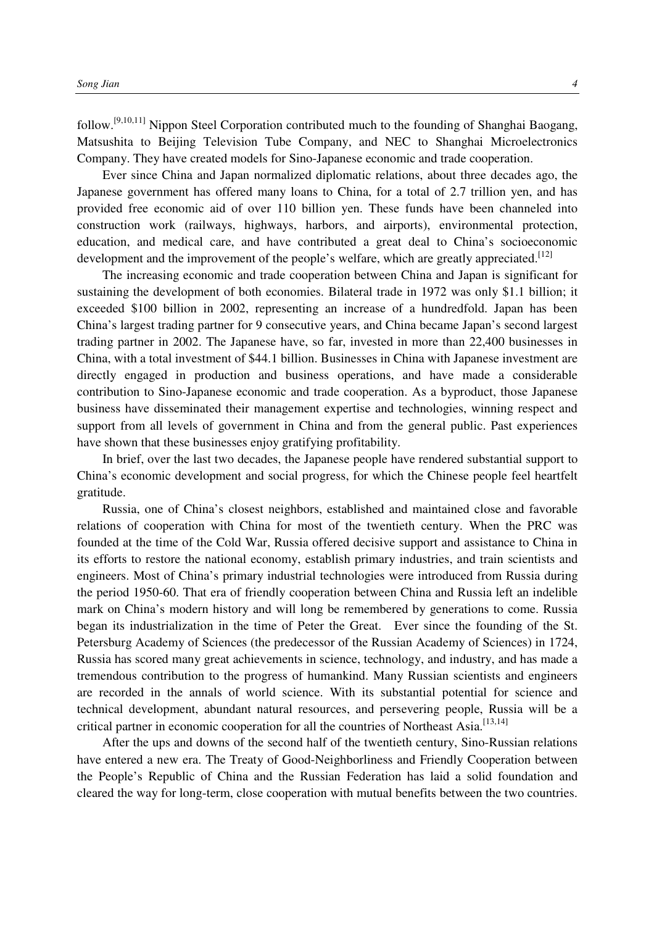follow.[9,10,11] Nippon Steel Corporation contributed much to the founding of Shanghai Baogang, Matsushita to Beijing Television Tube Company, and NEC to Shanghai Microelectronics Company. They have created models for Sino-Japanese economic and trade cooperation.

Ever since China and Japan normalized diplomatic relations, about three decades ago, the Japanese government has offered many loans to China, for a total of 2.7 trillion yen, and has provided free economic aid of over 110 billion yen. These funds have been channeled into construction work (railways, highways, harbors, and airports), environmental protection, education, and medical care, and have contributed a great deal to China's socioeconomic development and the improvement of the people's welfare, which are greatly appreciated.<sup>[12]</sup>

The increasing economic and trade cooperation between China and Japan is significant for sustaining the development of both economies. Bilateral trade in 1972 was only \$1.1 billion; it exceeded \$100 billion in 2002, representing an increase of a hundredfold. Japan has been China's largest trading partner for 9 consecutive years, and China became Japan's second largest trading partner in 2002. The Japanese have, so far, invested in more than 22,400 businesses in China, with a total investment of \$44.1 billion. Businesses in China with Japanese investment are directly engaged in production and business operations, and have made a considerable contribution to Sino-Japanese economic and trade cooperation. As a byproduct, those Japanese business have disseminated their management expertise and technologies, winning respect and support from all levels of government in China and from the general public. Past experiences have shown that these businesses enjoy gratifying profitability.

In brief, over the last two decades, the Japanese people have rendered substantial support to China's economic development and social progress, for which the Chinese people feel heartfelt gratitude.

Russia, one of China's closest neighbors, established and maintained close and favorable relations of cooperation with China for most of the twentieth century. When the PRC was founded at the time of the Cold War, Russia offered decisive support and assistance to China in its efforts to restore the national economy, establish primary industries, and train scientists and engineers. Most of China's primary industrial technologies were introduced from Russia during the period 1950-60. That era of friendly cooperation between China and Russia left an indelible mark on China's modern history and will long be remembered by generations to come. Russia began its industrialization in the time of Peter the Great. Ever since the founding of the St. Petersburg Academy of Sciences (the predecessor of the Russian Academy of Sciences) in 1724, Russia has scored many great achievements in science, technology, and industry, and has made a tremendous contribution to the progress of humankind. Many Russian scientists and engineers are recorded in the annals of world science. With its substantial potential for science and technical development, abundant natural resources, and persevering people, Russia will be a critical partner in economic cooperation for all the countries of Northeast Asia.<sup>[13,14]</sup>

After the ups and downs of the second half of the twentieth century, Sino-Russian relations have entered a new era. The Treaty of Good-Neighborliness and Friendly Cooperation between the People's Republic of China and the Russian Federation has laid a solid foundation and cleared the way for long-term, close cooperation with mutual benefits between the two countries.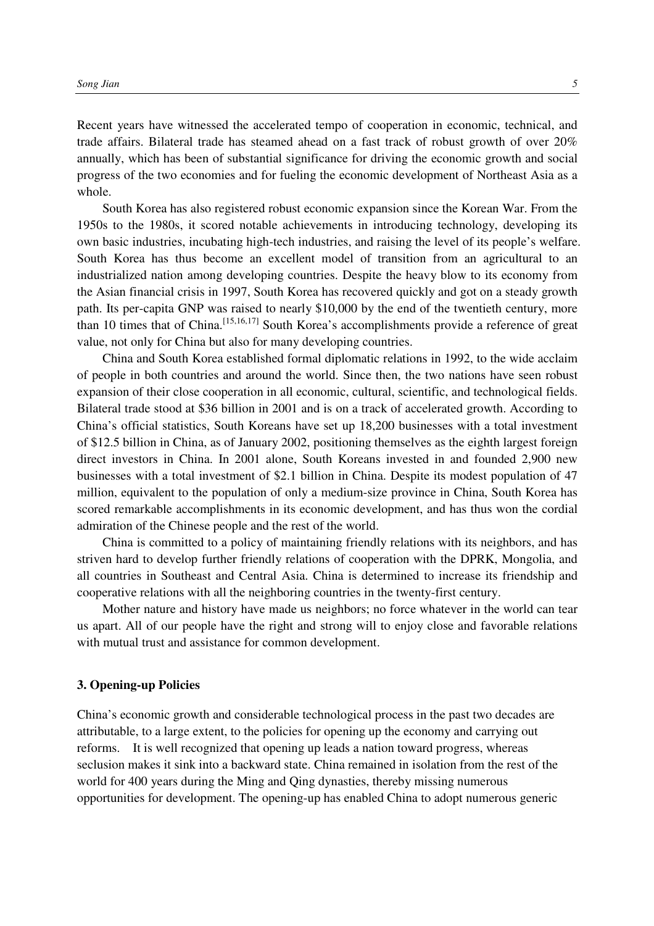Recent years have witnessed the accelerated tempo of cooperation in economic, technical, and trade affairs. Bilateral trade has steamed ahead on a fast track of robust growth of over 20% annually, which has been of substantial significance for driving the economic growth and social progress of the two economies and for fueling the economic development of Northeast Asia as a whole.

South Korea has also registered robust economic expansion since the Korean War. From the 1950s to the 1980s, it scored notable achievements in introducing technology, developing its own basic industries, incubating high-tech industries, and raising the level of its people's welfare. South Korea has thus become an excellent model of transition from an agricultural to an industrialized nation among developing countries. Despite the heavy blow to its economy from the Asian financial crisis in 1997, South Korea has recovered quickly and got on a steady growth path. Its per-capita GNP was raised to nearly \$10,000 by the end of the twentieth century, more than 10 times that of China.[15,16,17] South Korea's accomplishments provide a reference of great value, not only for China but also for many developing countries.

China and South Korea established formal diplomatic relations in 1992, to the wide acclaim of people in both countries and around the world. Since then, the two nations have seen robust expansion of their close cooperation in all economic, cultural, scientific, and technological fields. Bilateral trade stood at \$36 billion in 2001 and is on a track of accelerated growth. According to China's official statistics, South Koreans have set up 18,200 businesses with a total investment of \$12.5 billion in China, as of January 2002, positioning themselves as the eighth largest foreign direct investors in China. In 2001 alone, South Koreans invested in and founded 2,900 new businesses with a total investment of \$2.1 billion in China. Despite its modest population of 47 million, equivalent to the population of only a medium-size province in China, South Korea has scored remarkable accomplishments in its economic development, and has thus won the cordial admiration of the Chinese people and the rest of the world.

China is committed to a policy of maintaining friendly relations with its neighbors, and has striven hard to develop further friendly relations of cooperation with the DPRK, Mongolia, and all countries in Southeast and Central Asia. China is determined to increase its friendship and cooperative relations with all the neighboring countries in the twenty-first century.

Mother nature and history have made us neighbors; no force whatever in the world can tear us apart. All of our people have the right and strong will to enjoy close and favorable relations with mutual trust and assistance for common development.

#### **3. Opening-up Policies**

China's economic growth and considerable technological process in the past two decades are attributable, to a large extent, to the policies for opening up the economy and carrying out reforms. It is well recognized that opening up leads a nation toward progress, whereas seclusion makes it sink into a backward state. China remained in isolation from the rest of the world for 400 years during the Ming and Qing dynasties, thereby missing numerous opportunities for development. The opening-up has enabled China to adopt numerous generic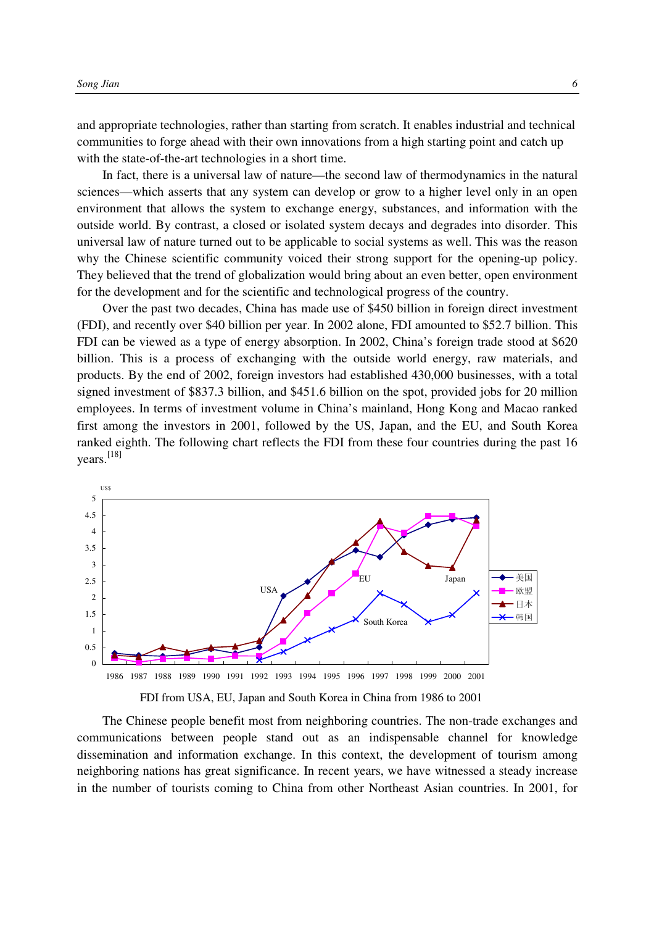and appropriate technologies, rather than starting from scratch. It enables industrial and technical communities to forge ahead with their own innovations from a high starting point and catch up with the state-of-the-art technologies in a short time.

In fact, there is a universal law of nature—the second law of thermodynamics in the natural sciences—which asserts that any system can develop or grow to a higher level only in an open environment that allows the system to exchange energy, substances, and information with the outside world. By contrast, a closed or isolated system decays and degrades into disorder. This universal law of nature turned out to be applicable to social systems as well. This was the reason why the Chinese scientific community voiced their strong support for the opening-up policy. They believed that the trend of globalization would bring about an even better, open environment for the development and for the scientific and technological progress of the country.

Over the past two decades, China has made use of \$450 billion in foreign direct investment (FDI), and recently over \$40 billion per year. In 2002 alone, FDI amounted to \$52.7 billion. This FDI can be viewed as a type of energy absorption. In 2002, China's foreign trade stood at \$620 billion. This is a process of exchanging with the outside world energy, raw materials, and products. By the end of 2002, foreign investors had established 430,000 businesses, with a total signed investment of \$837.3 billion, and \$451.6 billion on the spot, provided jobs for 20 million employees. In terms of investment volume in China's mainland, Hong Kong and Macao ranked first among the investors in 2001, followed by the US, Japan, and the EU, and South Korea ranked eighth. The following chart reflects the FDI from these four countries during the past 16 years. [18]



FDI from USA, EU, Japan and South Korea in China from 1986 to 2001

The Chinese people benefit most from neighboring countries. The non-trade exchanges and communications between people stand out as an indispensable channel for knowledge dissemination and information exchange. In this context, the development of tourism among neighboring nations has great significance. In recent years, we have witnessed a steady increase in the number of tourists coming to China from other Northeast Asian countries. In 2001, for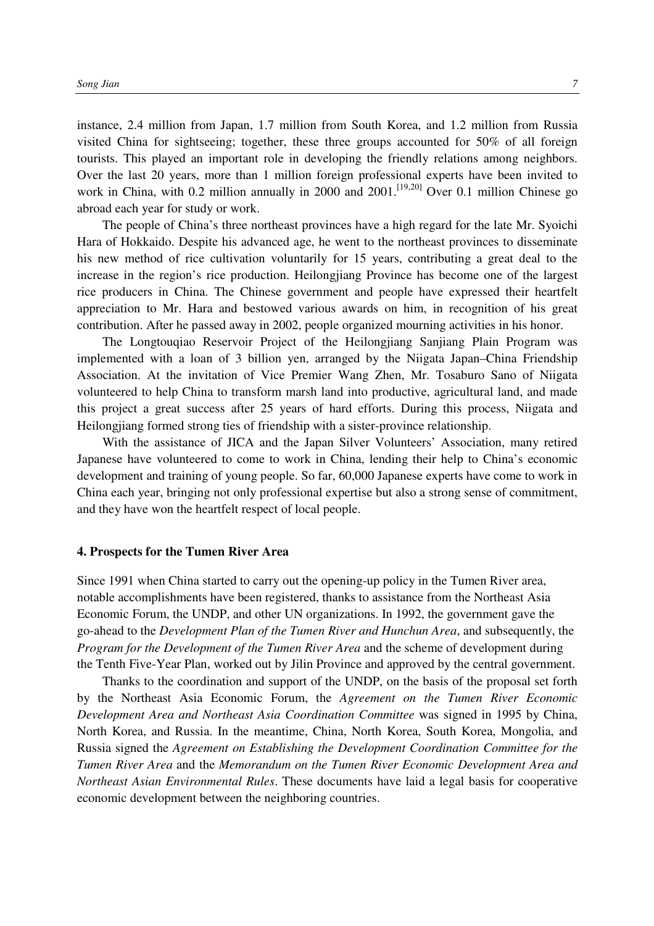instance, 2.4 million from Japan, 1.7 million from South Korea, and 1.2 million from Russia visited China for sightseeing; together, these three groups accounted for 50% of all foreign tourists. This played an important role in developing the friendly relations among neighbors. Over the last 20 years, more than 1 million foreign professional experts have been invited to work in China, with 0.2 million annually in 2000 and 2001.<sup>[19,20]</sup> Over 0.1 million Chinese go abroad each year for study or work.

The people of China's three northeast provinces have a high regard for the late Mr. Syoichi Hara of Hokkaido. Despite his advanced age, he went to the northeast provinces to disseminate his new method of rice cultivation voluntarily for 15 years, contributing a great deal to the increase in the region's rice production. Heilongjiang Province has become one of the largest rice producers in China. The Chinese government and people have expressed their heartfelt appreciation to Mr. Hara and bestowed various awards on him, in recognition of his great contribution. After he passed away in 2002, people organized mourning activities in his honor.

The Longtouqiao Reservoir Project of the Heilongjiang Sanjiang Plain Program was implemented with a loan of 3 billion yen, arranged by the Niigata Japan–China Friendship Association. At the invitation of Vice Premier Wang Zhen, Mr. Tosaburo Sano of Niigata volunteered to help China to transform marsh land into productive, agricultural land, and made this project a great success after 25 years of hard efforts. During this process, Niigata and Heilongjiang formed strong ties of friendship with a sister-province relationship.

With the assistance of JICA and the Japan Silver Volunteers' Association, many retired Japanese have volunteered to come to work in China, lending their help to China's economic development and training of young people. So far, 60,000 Japanese experts have come to work in China each year, bringing not only professional expertise but also a strong sense of commitment, and they have won the heartfelt respect of local people.

### **4. Prospects for the Tumen River Area**

Since 1991 when China started to carry out the opening-up policy in the Tumen River area, notable accomplishments have been registered, thanks to assistance from the Northeast Asia Economic Forum, the UNDP, and other UN organizations. In 1992, the government gave the go-ahead to the *Development Plan of the Tumen River and Hunchun Area*, and subsequently, the *Program for the Development of the Tumen River Area* and the scheme of development during the Tenth Five-Year Plan, worked out by Jilin Province and approved by the central government.

Thanks to the coordination and support of the UNDP, on the basis of the proposal set forth by the Northeast Asia Economic Forum, the *Agreement on the Tumen River Economic Development Area and Northeast Asia Coordination Committee* was signed in 1995 by China, North Korea, and Russia. In the meantime, China, North Korea, South Korea, Mongolia, and Russia signed the *Agreement on Establishing the Development Coordination Committee for the Tumen River Area* and the *Memorandum on the Tumen River Economic Development Area and Northeast Asian Environmental Rules*. These documents have laid a legal basis for cooperative economic development between the neighboring countries.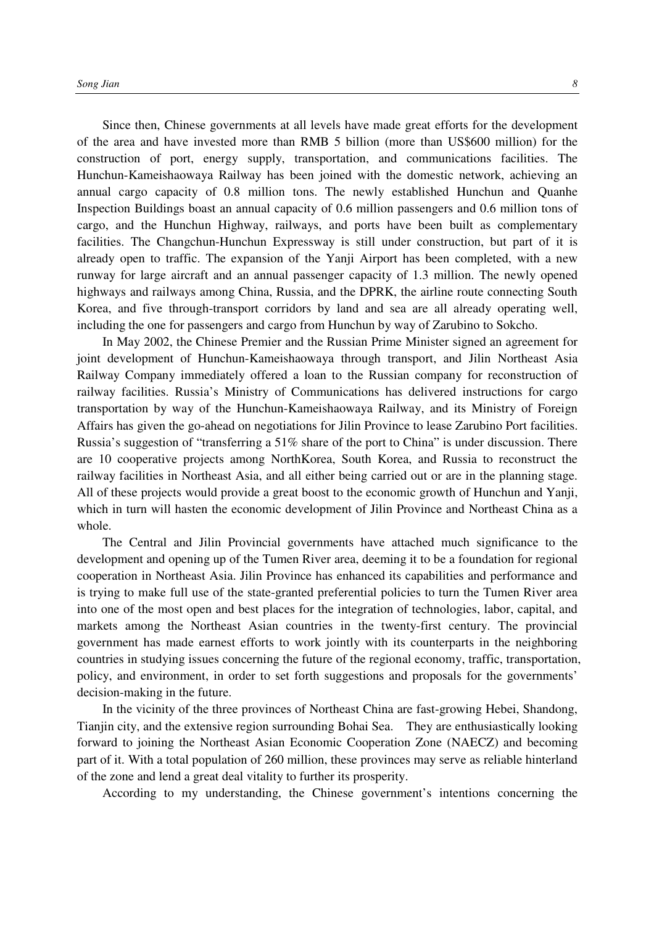Since then, Chinese governments at all levels have made great efforts for the development of the area and have invested more than RMB 5 billion (more than US\$600 million) for the construction of port, energy supply, transportation, and communications facilities. The Hunchun-Kameishaowaya Railway has been joined with the domestic network, achieving an annual cargo capacity of 0.8 million tons. The newly established Hunchun and Quanhe Inspection Buildings boast an annual capacity of 0.6 million passengers and 0.6 million tons of cargo, and the Hunchun Highway, railways, and ports have been built as complementary facilities. The Changchun-Hunchun Expressway is still under construction, but part of it is already open to traffic. The expansion of the Yanji Airport has been completed, with a new runway for large aircraft and an annual passenger capacity of 1.3 million. The newly opened highways and railways among China, Russia, and the DPRK, the airline route connecting South Korea, and five through-transport corridors by land and sea are all already operating well, including the one for passengers and cargo from Hunchun by way of Zarubino to Sokcho.

In May 2002, the Chinese Premier and the Russian Prime Minister signed an agreement for joint development of Hunchun-Kameishaowaya through transport, and Jilin Northeast Asia Railway Company immediately offered a loan to the Russian company for reconstruction of railway facilities. Russia's Ministry of Communications has delivered instructions for cargo transportation by way of the Hunchun-Kameishaowaya Railway, and its Ministry of Foreign Affairs has given the go-ahead on negotiations for Jilin Province to lease Zarubino Port facilities. Russia's suggestion of "transferring a 51% share of the port to China" is under discussion. There are 10 cooperative projects among NorthKorea, South Korea, and Russia to reconstruct the railway facilities in Northeast Asia, and all either being carried out or are in the planning stage. All of these projects would provide a great boost to the economic growth of Hunchun and Yanji, which in turn will hasten the economic development of Jilin Province and Northeast China as a whole.

The Central and Jilin Provincial governments have attached much significance to the development and opening up of the Tumen River area, deeming it to be a foundation for regional cooperation in Northeast Asia. Jilin Province has enhanced its capabilities and performance and is trying to make full use of the state-granted preferential policies to turn the Tumen River area into one of the most open and best places for the integration of technologies, labor, capital, and markets among the Northeast Asian countries in the twenty-first century. The provincial government has made earnest efforts to work jointly with its counterparts in the neighboring countries in studying issues concerning the future of the regional economy, traffic, transportation, policy, and environment, in order to set forth suggestions and proposals for the governments' decision-making in the future.

In the vicinity of the three provinces of Northeast China are fast-growing Hebei, Shandong, Tianjin city, and the extensive region surrounding Bohai Sea. They are enthusiastically looking forward to joining the Northeast Asian Economic Cooperation Zone (NAECZ) and becoming part of it. With a total population of 260 million, these provinces may serve as reliable hinterland of the zone and lend a great deal vitality to further its prosperity.

According to my understanding, the Chinese government's intentions concerning the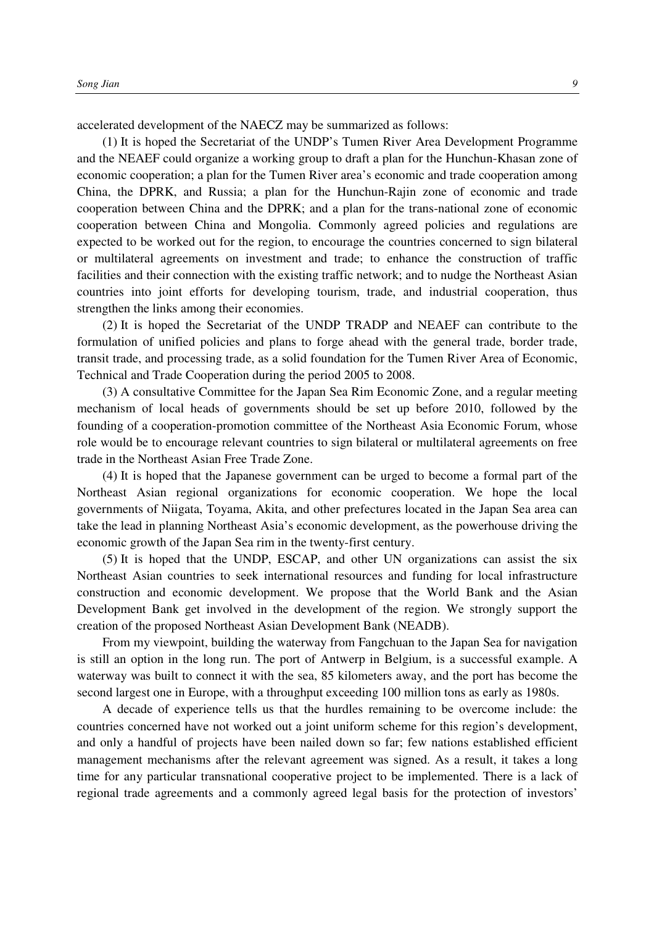accelerated development of the NAECZ may be summarized as follows:

(1) It is hoped the Secretariat of the UNDP's Tumen River Area Development Programme and the NEAEF could organize a working group to draft a plan for the Hunchun-Khasan zone of economic cooperation; a plan for the Tumen River area's economic and trade cooperation among China, the DPRK, and Russia; a plan for the Hunchun-Rajin zone of economic and trade cooperation between China and the DPRK; and a plan for the trans-national zone of economic cooperation between China and Mongolia. Commonly agreed policies and regulations are expected to be worked out for the region, to encourage the countries concerned to sign bilateral or multilateral agreements on investment and trade; to enhance the construction of traffic facilities and their connection with the existing traffic network; and to nudge the Northeast Asian countries into joint efforts for developing tourism, trade, and industrial cooperation, thus strengthen the links among their economies.

(2) It is hoped the Secretariat of the UNDP TRADP and NEAEF can contribute to the formulation of unified policies and plans to forge ahead with the general trade, border trade, transit trade, and processing trade, as a solid foundation for the Tumen River Area of Economic, Technical and Trade Cooperation during the period 2005 to 2008.

(3) A consultative Committee for the Japan Sea Rim Economic Zone, and a regular meeting mechanism of local heads of governments should be set up before 2010, followed by the founding of a cooperation-promotion committee of the Northeast Asia Economic Forum, whose role would be to encourage relevant countries to sign bilateral or multilateral agreements on free trade in the Northeast Asian Free Trade Zone.

(4) It is hoped that the Japanese government can be urged to become a formal part of the Northeast Asian regional organizations for economic cooperation. We hope the local governments of Niigata, Toyama, Akita, and other prefectures located in the Japan Sea area can take the lead in planning Northeast Asia's economic development, as the powerhouse driving the economic growth of the Japan Sea rim in the twenty-first century.

(5) It is hoped that the UNDP, ESCAP, and other UN organizations can assist the six Northeast Asian countries to seek international resources and funding for local infrastructure construction and economic development. We propose that the World Bank and the Asian Development Bank get involved in the development of the region. We strongly support the creation of the proposed Northeast Asian Development Bank (NEADB).

From my viewpoint, building the waterway from Fangchuan to the Japan Sea for navigation is still an option in the long run. The port of Antwerp in Belgium, is a successful example. A waterway was built to connect it with the sea, 85 kilometers away, and the port has become the second largest one in Europe, with a throughput exceeding 100 million tons as early as 1980s.

A decade of experience tells us that the hurdles remaining to be overcome include: the countries concerned have not worked out a joint uniform scheme for this region's development, and only a handful of projects have been nailed down so far; few nations established efficient management mechanisms after the relevant agreement was signed. As a result, it takes a long time for any particular transnational cooperative project to be implemented. There is a lack of regional trade agreements and a commonly agreed legal basis for the protection of investors'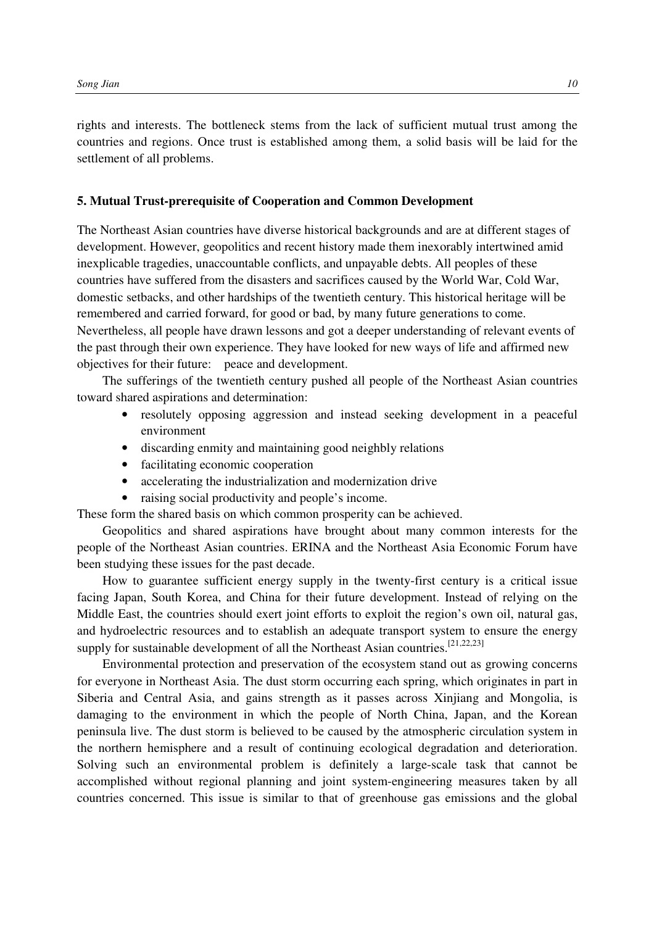rights and interests. The bottleneck stems from the lack of sufficient mutual trust among the countries and regions. Once trust is established among them, a solid basis will be laid for the settlement of all problems.

## **5. Mutual Trust-prerequisite of Cooperation and Common Development**

The Northeast Asian countries have diverse historical backgrounds and are at different stages of development. However, geopolitics and recent history made them inexorably intertwined amid inexplicable tragedies, unaccountable conflicts, and unpayable debts. All peoples of these countries have suffered from the disasters and sacrifices caused by the World War, Cold War, domestic setbacks, and other hardships of the twentieth century. This historical heritage will be remembered and carried forward, for good or bad, by many future generations to come. Nevertheless, all people have drawn lessons and got a deeper understanding of relevant events of the past through their own experience. They have looked for new ways of life and affirmed new objectives for their future: peace and development.

The sufferings of the twentieth century pushed all people of the Northeast Asian countries toward shared aspirations and determination:

- resolutely opposing aggression and instead seeking development in a peaceful environment
- discarding enmity and maintaining good neighbly relations
- facilitating economic cooperation
- accelerating the industrialization and modernization drive
- raising social productivity and people's income.

These form the shared basis on which common prosperity can be achieved.

Geopolitics and shared aspirations have brought about many common interests for the people of the Northeast Asian countries. ERINA and the Northeast Asia Economic Forum have been studying these issues for the past decade.

How to guarantee sufficient energy supply in the twenty-first century is a critical issue facing Japan, South Korea, and China for their future development. Instead of relying on the Middle East, the countries should exert joint efforts to exploit the region's own oil, natural gas, and hydroelectric resources and to establish an adequate transport system to ensure the energy supply for sustainable development of all the Northeast Asian countries.<sup>[21,22,23]</sup>

Environmental protection and preservation of the ecosystem stand out as growing concerns for everyone in Northeast Asia. The dust storm occurring each spring, which originates in part in Siberia and Central Asia, and gains strength as it passes across Xinjiang and Mongolia, is damaging to the environment in which the people of North China, Japan, and the Korean peninsula live. The dust storm is believed to be caused by the atmospheric circulation system in the northern hemisphere and a result of continuing ecological degradation and deterioration. Solving such an environmental problem is definitely a large-scale task that cannot be accomplished without regional planning and joint system-engineering measures taken by all countries concerned. This issue is similar to that of greenhouse gas emissions and the global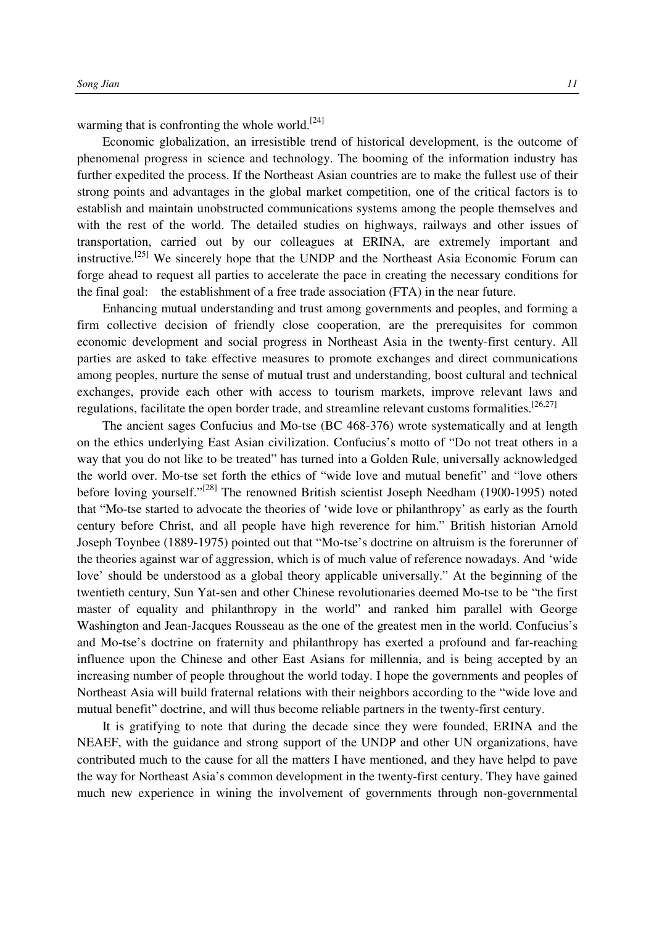warming that is confronting the whole world.<sup>[24]</sup>

Economic globalization, an irresistible trend of historical development, is the outcome of phenomenal progress in science and technology. The booming of the information industry has further expedited the process. If the Northeast Asian countries are to make the fullest use of their strong points and advantages in the global market competition, one of the critical factors is to establish and maintain unobstructed communications systems among the people themselves and with the rest of the world. The detailed studies on highways, railways and other issues of transportation, carried out by our colleagues at ERINA, are extremely important and instructive.[25] We sincerely hope that the UNDP and the Northeast Asia Economic Forum can forge ahead to request all parties to accelerate the pace in creating the necessary conditions for the final goal: the establishment of a free trade association (FTA) in the near future.

Enhancing mutual understanding and trust among governments and peoples, and forming a firm collective decision of friendly close cooperation, are the prerequisites for common economic development and social progress in Northeast Asia in the twenty-first century. All parties are asked to take effective measures to promote exchanges and direct communications among peoples, nurture the sense of mutual trust and understanding, boost cultural and technical exchanges, provide each other with access to tourism markets, improve relevant laws and regulations, facilitate the open border trade, and streamline relevant customs formalities.<sup>[26,27]</sup>

The ancient sages Confucius and Mo-tse (BC 468-376) wrote systematically and at length on the ethics underlying East Asian civilization. Confucius's motto of "Do not treat others in a way that you do not like to be treated" has turned into a Golden Rule, universally acknowledged the world over. Mo-tse set forth the ethics of "wide love and mutual benefit" and "love others before loving yourself."[28] The renowned British scientist Joseph Needham (1900-1995) noted that "Mo-tse started to advocate the theories of 'wide love or philanthropy' as early as the fourth century before Christ, and all people have high reverence for him." British historian Arnold Joseph Toynbee (1889-1975) pointed out that "Mo-tse's doctrine on altruism is the forerunner of the theories against war of aggression, which is of much value of reference nowadays. And 'wide love' should be understood as a global theory applicable universally." At the beginning of the twentieth century, Sun Yat-sen and other Chinese revolutionaries deemed Mo-tse to be "the first master of equality and philanthropy in the world" and ranked him parallel with George Washington and Jean-Jacques Rousseau as the one of the greatest men in the world. Confucius's and Mo-tse's doctrine on fraternity and philanthropy has exerted a profound and far-reaching influence upon the Chinese and other East Asians for millennia, and is being accepted by an increasing number of people throughout the world today. I hope the governments and peoples of Northeast Asia will build fraternal relations with their neighbors according to the "wide love and mutual benefit" doctrine, and will thus become reliable partners in the twenty-first century.

It is gratifying to note that during the decade since they were founded, ERINA and the NEAEF, with the guidance and strong support of the UNDP and other UN organizations, have contributed much to the cause for all the matters I have mentioned, and they have helpd to pave the way for Northeast Asia's common development in the twenty-first century. They have gained much new experience in wining the involvement of governments through non-governmental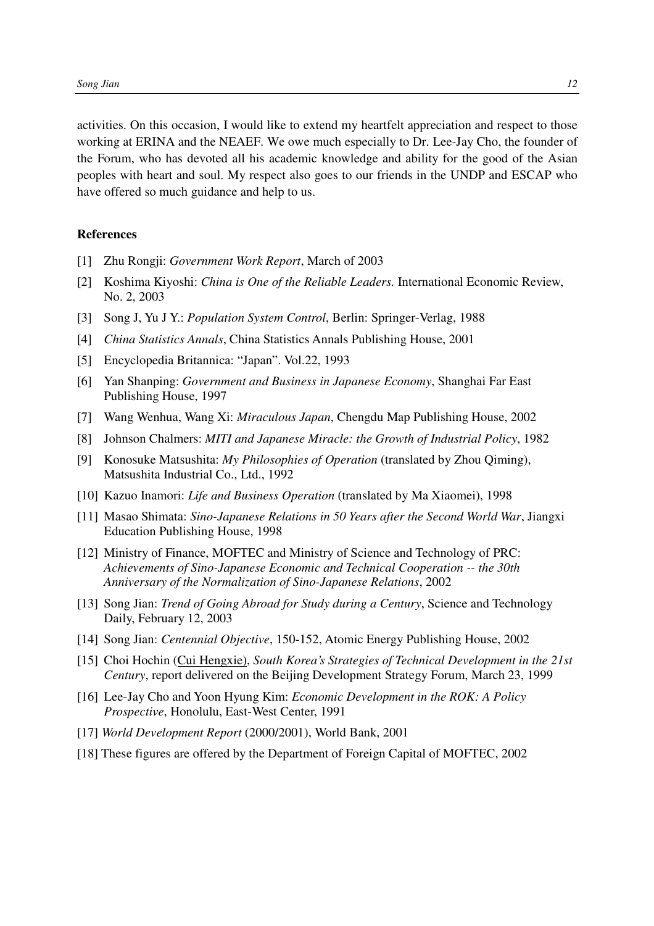activities. On this occasion, I would like to extend my heartfelt appreciation and respect to those working at ERINA and the NEAEF. We owe much especially to Dr. Lee-Jay Cho, the founder of the Forum, who has devoted all his academic knowledge and ability for the good of the Asian peoples with heart and soul. My respect also goes to our friends in the UNDP and ESCAP who have offered so much guidance and help to us.

## **References**

- [1] Zhu Rongji: *Government Work Report*, March of 2003
- [2] Koshima Kiyoshi: *China is One of the Reliable Leaders.* International Economic Review, No. 2, 2003
- [3] Song J, Yu J Y.: *Population System Control*, Berlin: Springer-Verlag, 1988
- [4] *China Statistics Annals*, China Statistics Annals Publishing House, 2001
- [5] Encyclopedia Britannica: "Japan". Vol.22, 1993
- [6] Yan Shanping: *Government and Business in Japanese Economy*, Shanghai Far East Publishing House, 1997
- [7] Wang Wenhua, Wang Xi: *Miraculous Japan*, Chengdu Map Publishing House, 2002
- [8] Johnson Chalmers: *MITI and Japanese Miracle: the Growth of Industrial Policy*, 1982
- [9] Konosuke Matsushita: *My Philosophies of Operation* (translated by Zhou Qiming), Matsushita Industrial Co., Ltd., 1992
- [10] Kazuo Inamori: *Life and Business Operation* (translated by Ma Xiaomei), 1998
- [11] Masao Shimata: *Sino-Japanese Relations in 50 Years after the Second World War*, Jiangxi Education Publishing House, 1998
- [12] Ministry of Finance, MOFTEC and Ministry of Science and Technology of PRC: *Achievements of Sino-Japanese Economic and Technical Cooperation -- the 30th Anniversary of the Normalization of Sino-Japanese Relations*, 2002
- [13] Song Jian: *Trend of Going Abroad for Study during a Century*, Science and Technology Daily, February 12, 2003
- [14] Song Jian: *Centennial Objective*, 150-152, Atomic Energy Publishing House, 2002
- [15] Choi Hochin (Cui Hengxie), *South Korea's Strategies of Technical Development in the 21st Century*, report delivered on the Beijing Development Strategy Forum, March 23, 1999
- [16] Lee-Jay Cho and Yoon Hyung Kim: *Economic Development in the ROK: A Policy Prospective*, Honolulu, East-West Center, 1991
- [17] *World Development Report* (2000/2001), World Bank, 2001
- [18] These figures are offered by the Department of Foreign Capital of MOFTEC, 2002